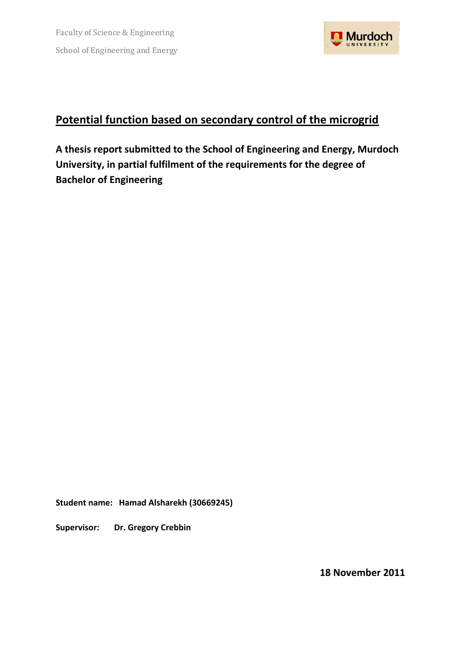

# **Potential function based on secondary control of the microgrid**

**A thesis report submitted to the School of Engineering and Energy, Murdoch University, in partial fulfilment of the requirements for the degree of Bachelor of Engineering**

**Student name: Hamad Alsharekh (30669245)**

**Supervisor: Dr. Gregory Crebbin**

**18 November 2011**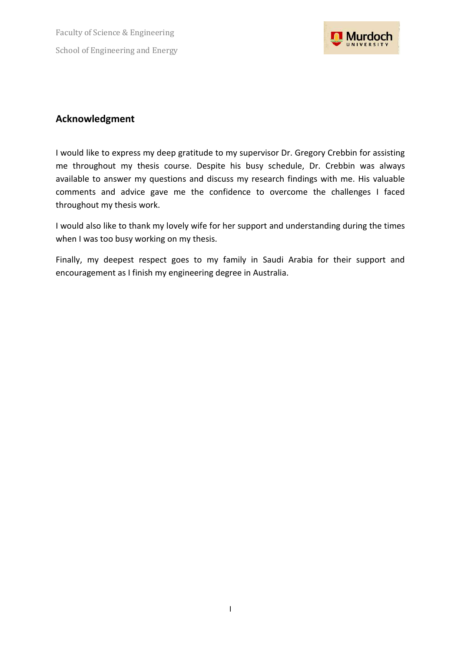Faculty of Science & Engineering School of Engineering and Energy



### <span id="page-1-0"></span>**Acknowledgment**

I would like to express my deep gratitude to my supervisor Dr. Gregory Crebbin for assisting me throughout my thesis course. Despite his busy schedule, Dr. Crebbin was always available to answer my questions and discuss my research findings with me. His valuable comments and advice gave me the confidence to overcome the challenges I faced throughout my thesis work.

I would also like to thank my lovely wife for her support and understanding during the times when I was too busy working on my thesis.

Finally, my deepest respect goes to my family in Saudi Arabia for their support and encouragement as I finish my engineering degree in Australia.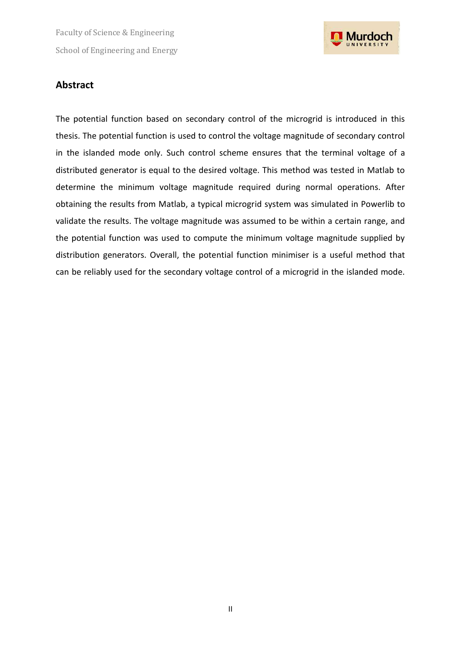Faculty of Science & Engineering School of Engineering and Energy



#### <span id="page-2-0"></span>**Abstract**

The potential function based on secondary control of the microgrid is introduced in this thesis. The potential function is used to control the voltage magnitude of secondary control in the islanded mode only. Such control scheme ensures that the terminal voltage of a distributed generator is equal to the desired voltage. This method was tested in Matlab to determine the minimum voltage magnitude required during normal operations. After obtaining the results from Matlab, a typical microgrid system was simulated in Powerlib to validate the results. The voltage magnitude was assumed to be within a certain range, and the potential function was used to compute the minimum voltage magnitude supplied by distribution generators. Overall, the potential function minimiser is a useful method that can be reliably used for the secondary voltage control of a microgrid in the islanded mode.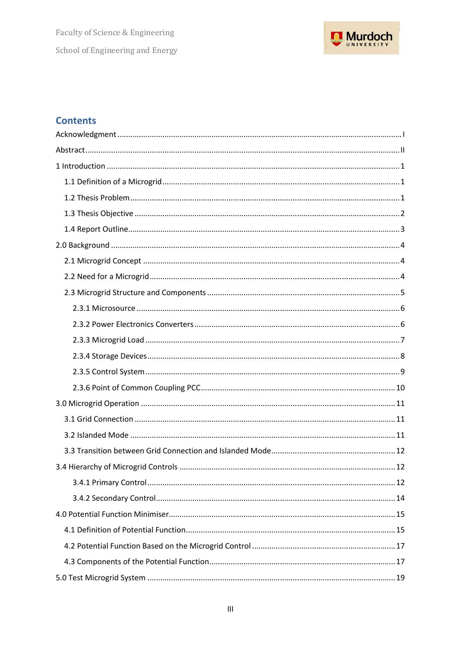

## **Contents**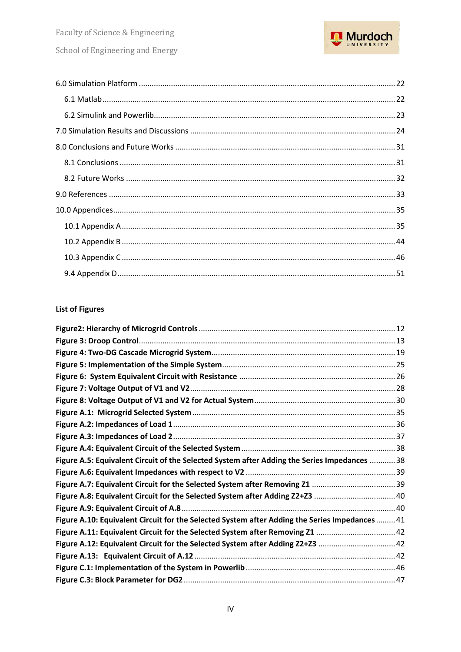

#### **List of Figures**

| Figure A.5: Equivalent Circuit of the Selected System after Adding the Series Impedances  38   |  |
|------------------------------------------------------------------------------------------------|--|
|                                                                                                |  |
|                                                                                                |  |
| Figure A.8: Equivalent Circuit for the Selected System after Adding Z2+Z3 40                   |  |
|                                                                                                |  |
| Figure A.10: Equivalent Circuit for the Selected System after Adding the Series Impedances  41 |  |
|                                                                                                |  |
| Figure A.12: Equivalent Circuit for the Selected System after Adding Z2+Z3                     |  |
|                                                                                                |  |
|                                                                                                |  |
|                                                                                                |  |